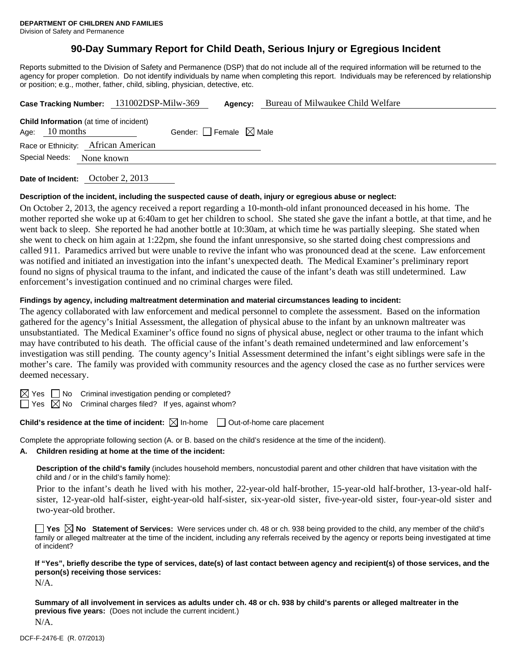# **90-Day Summary Report for Child Death, Serious Injury or Egregious Incident**

Reports submitted to the Division of Safety and Permanence (DSP) that do not include all of the required information will be returned to the agency for proper completion. Do not identify individuals by name when completing this report. Individuals may be referenced by relationship or position; e.g., mother, father, child, sibling, physician, detective, etc.

|                  | Case Tracking Number: 131002DSP-Milw-369       | Agency:                         | Bureau of Milwaukee Child Welfare |
|------------------|------------------------------------------------|---------------------------------|-----------------------------------|
| Age: $10$ months | <b>Child Information</b> (at time of incident) | Gender: Female $\boxtimes$ Male |                                   |
|                  | Race or Ethnicity: African American            |                                 |                                   |
| Special Needs:   | None known                                     |                                 |                                   |
|                  |                                                |                                 |                                   |

**Date of Incident:** October 2, 2013

#### **Description of the incident, including the suspected cause of death, injury or egregious abuse or neglect:**

On October 2, 2013, the agency received a report regarding a 10-month-old infant pronounced deceased in his home. The mother reported she woke up at 6:40am to get her children to school. She stated she gave the infant a bottle, at that time, and he went back to sleep. She reported he had another bottle at 10:30am, at which time he was partially sleeping. She stated when she went to check on him again at 1:22pm, she found the infant unresponsive, so she started doing chest compressions and called 911. Paramedics arrived but were unable to revive the infant who was pronounced dead at the scene. Law enforcement was notified and initiated an investigation into the infant's unexpected death. The Medical Examiner's preliminary report found no signs of physical trauma to the infant, and indicated the cause of the infant's death was still undetermined. Law enforcement's investigation continued and no criminal charges were filed.

#### **Findings by agency, including maltreatment determination and material circumstances leading to incident:**

The agency collaborated with law enforcement and medical personnel to complete the assessment. Based on the information gathered for the agency's Initial Assessment, the allegation of physical abuse to the infant by an unknown maltreater was unsubstantiated. The Medical Examiner's office found no signs of physical abuse, neglect or other trauma to the infant which may have contributed to his death. The official cause of the infant's death remained undetermined and law enforcement's investigation was still pending. The county agency's Initial Assessment determined the infant's eight siblings were safe in the mother's care. The family was provided with community resources and the agency closed the case as no further services were deemed necessary.

 $\boxtimes$  Yes  $\Box$  No Criminal investigation pending or completed?

 $\Box$  Yes  $\boxtimes$  No Criminal charges filed? If yes, against whom?

**Child's residence at the time of incident:** ⊠ In-home □ Out-of-home care placement

Complete the appropriate following section (A. or B. based on the child's residence at the time of the incident).

#### **A. Children residing at home at the time of the incident:**

**Description of the child's family** (includes household members, noncustodial parent and other children that have visitation with the child and / or in the child's family home):

 Prior to the infant's death he lived with his mother, 22-year-old half-brother, 15-year-old half-brother, 13-year-old halfsister, 12-year-old half-sister, eight-year-old half-sister, six-year-old sister, five-year-old sister, four-year-old sister and two-year-old brother.

■ Yes **No** Statement of Services: Were services under ch. 48 or ch. 938 being provided to the child, any member of the child's family or alleged maltreater at the time of the incident, including any referrals received by the agency or reports being investigated at time of incident?

**If "Yes", briefly describe the type of services, date(s) of last contact between agency and recipient(s) of those services, and the person(s) receiving those services:** 

N/A.

**Summary of all involvement in services as adults under ch. 48 or ch. 938 by child's parents or alleged maltreater in the previous five years:** (Does not include the current incident.) N/A.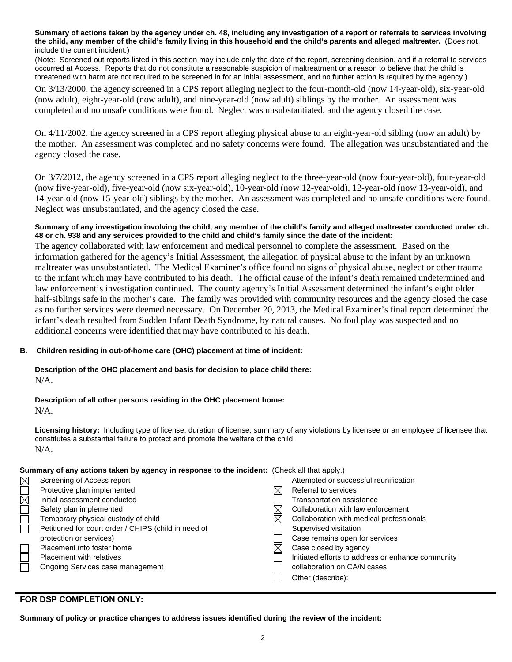**Summary of actions taken by the agency under ch. 48, including any investigation of a report or referrals to services involving the child, any member of the child's family living in this household and the child's parents and alleged maltreater.** (Does not include the current incident.)

(Note: Screened out reports listed in this section may include only the date of the report, screening decision, and if a referral to services occurred at Access. Reports that do not constitute a reasonable suspicion of maltreatment or a reason to believe that the child is threatened with harm are not required to be screened in for an initial assessment, and no further action is required by the agency.)

On 3/13/2000, the agency screened in a CPS report alleging neglect to the four-month-old (now 14-year-old), six-year-old (now adult), eight-year-old (now adult), and nine-year-old (now adult) siblings by the mother. An assessment was completed and no unsafe conditions were found. Neglect was unsubstantiated, and the agency closed the case.

On 4/11/2002, the agency screened in a CPS report alleging physical abuse to an eight-year-old sibling (now an adult) by the mother. An assessment was completed and no safety concerns were found. The allegation was unsubstantiated and the agency closed the case.

On 3/7/2012, the agency screened in a CPS report alleging neglect to the three-year-old (now four-year-old), four-year-old (now five-year-old), five-year-old (now six-year-old), 10-year-old (now 12-year-old), 12-year-old (now 13-year-old), and 14-year-old (now 15-year-old) siblings by the mother. An assessment was completed and no unsafe conditions were found. Neglect was unsubstantiated, and the agency closed the case.

## **Summary of any investigation involving the child, any member of the child's family and alleged maltreater conducted under ch. 48 or ch. 938 and any services provided to the child and child's family since the date of the incident:**

The agency collaborated with law enforcement and medical personnel to complete the assessment. Based on the information gathered for the agency's Initial Assessment, the allegation of physical abuse to the infant by an unknown maltreater was unsubstantiated. The Medical Examiner's office found no signs of physical abuse, neglect or other trauma to the infant which may have contributed to his death. The official cause of the infant's death remained undetermined and law enforcement's investigation continued. The county agency's Initial Assessment determined the infant's eight older half-siblings safe in the mother's care. The family was provided with community resources and the agency closed the case as no further services were deemed necessary. On December 20, 2013, the Medical Examiner's final report determined the infant's death resulted from Sudden Infant Death Syndrome, by natural causes. No foul play was suspected and no additional concerns were identified that may have contributed to his death.

## **B. Children residing in out-of-home care (OHC) placement at time of incident:**

## **Description of the OHC placement and basis for decision to place child there:** N/A.

# **Description of all other persons residing in the OHC placement home:**

N/A.

**Licensing history:** Including type of license, duration of license, summary of any violations by licensee or an employee of licensee that constitutes a substantial failure to protect and promote the welfare of the child. N/A.

| Summary of any actions taken by agency in response to the incident: (Check all that apply.) |                                                      |  |                                                   |  |  |
|---------------------------------------------------------------------------------------------|------------------------------------------------------|--|---------------------------------------------------|--|--|
| $\boxtimes$                                                                                 | Screening of Access report                           |  | Attempted or successful reunification             |  |  |
| $\overline{\square}$                                                                        | Protective plan implemented                          |  | Referral to services                              |  |  |
|                                                                                             | Initial assessment conducted                         |  | Transportation assistance                         |  |  |
| $\Box$                                                                                      | Safety plan implemented                              |  | Collaboration with law enforcement                |  |  |
|                                                                                             | Temporary physical custody of child                  |  | Collaboration with medical professionals          |  |  |
| Ē                                                                                           | Petitioned for court order / CHIPS (child in need of |  | Supervised visitation                             |  |  |
|                                                                                             | protection or services)                              |  | Case remains open for services                    |  |  |
|                                                                                             | Placement into foster home                           |  | Case closed by agency                             |  |  |
|                                                                                             | Placement with relatives                             |  | Initiated efforts to address or enhance community |  |  |
|                                                                                             | Ongoing Services case management                     |  | collaboration on CA/N cases                       |  |  |
|                                                                                             |                                                      |  | Other (describe):                                 |  |  |

# **FOR DSP COMPLETION ONLY:**

**Summary of policy or practice changes to address issues identified during the review of the incident:**